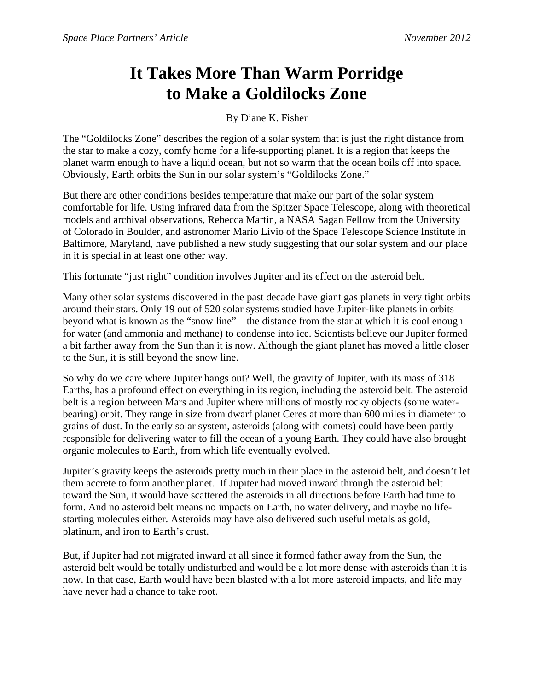## **It Takes More Than Warm Porridge to Make a Goldilocks Zone**

By Diane K. Fisher

The "Goldilocks Zone" describes the region of a solar system that is just the right distance from the star to make a cozy, comfy home for a life-supporting planet. It is a region that keeps the planet warm enough to have a liquid ocean, but not so warm that the ocean boils off into space. Obviously, Earth orbits the Sun in our solar system's "Goldilocks Zone."

But there are other conditions besides temperature that make our part of the solar system comfortable for life. Using infrared data from the Spitzer Space Telescope, along with theoretical models and archival observations, Rebecca Martin, a NASA Sagan Fellow from the University of Colorado in Boulder, and astronomer Mario Livio of the Space Telescope Science Institute in Baltimore, Maryland, have published a new study suggesting that our solar system and our place in it is special in at least one other way.

This fortunate "just right" condition involves Jupiter and its effect on the asteroid belt.

Many other solar systems discovered in the past decade have giant gas planets in very tight orbits around their stars. Only 19 out of 520 solar systems studied have Jupiter-like planets in orbits beyond what is known as the "snow line"—the distance from the star at which it is cool enough for water (and ammonia and methane) to condense into ice. Scientists believe our Jupiter formed a bit farther away from the Sun than it is now. Although the giant planet has moved a little closer to the Sun, it is still beyond the snow line.

So why do we care where Jupiter hangs out? Well, the gravity of Jupiter, with its mass of 318 Earths, has a profound effect on everything in its region, including the asteroid belt. The asteroid belt is a region between Mars and Jupiter where millions of mostly rocky objects (some waterbearing) orbit. They range in size from dwarf planet Ceres at more than 600 miles in diameter to grains of dust. In the early solar system, asteroids (along with comets) could have been partly responsible for delivering water to fill the ocean of a young Earth. They could have also brought organic molecules to Earth, from which life eventually evolved.

Jupiter's gravity keeps the asteroids pretty much in their place in the asteroid belt, and doesn't let them accrete to form another planet. If Jupiter had moved inward through the asteroid belt toward the Sun, it would have scattered the asteroids in all directions before Earth had time to form. And no asteroid belt means no impacts on Earth, no water delivery, and maybe no lifestarting molecules either. Asteroids may have also delivered such useful metals as gold, platinum, and iron to Earth's crust.

But, if Jupiter had not migrated inward at all since it formed father away from the Sun, the asteroid belt would be totally undisturbed and would be a lot more dense with asteroids than it is now. In that case, Earth would have been blasted with a lot more asteroid impacts, and life may have never had a chance to take root.